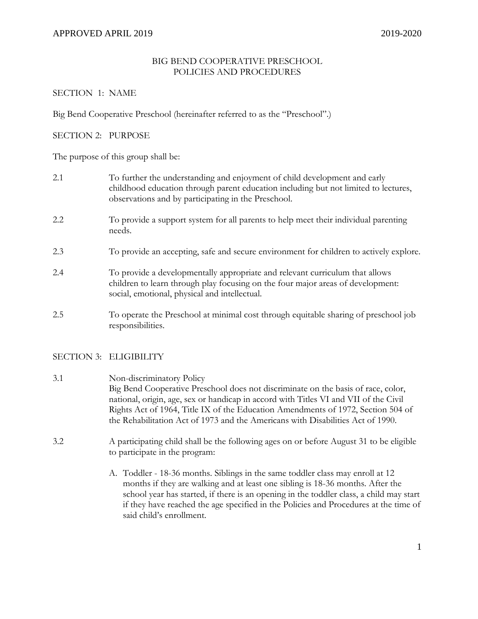# BIG BEND COOPERATIVE PRESCHOOL POLICIES AND PROCEDURES

# SECTION 1: NAME

Big Bend Cooperative Preschool (hereinafter referred to as the "Preschool".)

# SECTION 2: PURPOSE

The purpose of this group shall be:

| 2.1 | To further the understanding and enjoyment of child development and early<br>childhood education through parent education including but not limited to lectures,<br>observations and by participating in the Preschool. |
|-----|-------------------------------------------------------------------------------------------------------------------------------------------------------------------------------------------------------------------------|
| 2.2 | To provide a support system for all parents to help meet their individual parenting<br>needs.                                                                                                                           |
| 2.3 | To provide an accepting, safe and secure environment for children to actively explore.                                                                                                                                  |
| 2.4 | To provide a developmentally appropriate and relevant curriculum that allows<br>children to learn through play focusing on the four major areas of development:<br>social, emotional, physical and intellectual.        |
| 2.5 | To operate the Preschool at minimal cost through equitable sharing of preschool job<br>responsibilities.                                                                                                                |

# SECTION 3: ELIGIBILITY

- 3.1 Non-discriminatory Policy Big Bend Cooperative Preschool does not discriminate on the basis of race, color, national, origin, age, sex or handicap in accord with Titles VI and VII of the Civil Rights Act of 1964, Title IX of the Education Amendments of 1972, Section 504 of the Rehabilitation Act of 1973 and the Americans with Disabilities Act of 1990.
- 3.2 A participating child shall be the following ages on or before August 31 to be eligible to participate in the program:
	- A. Toddler 18-36 months. Siblings in the same toddler class may enroll at 12 months if they are walking and at least one sibling is 18-36 months. After the school year has started, if there is an opening in the toddler class, a child may start if they have reached the age specified in the Policies and Procedures at the time of said child's enrollment.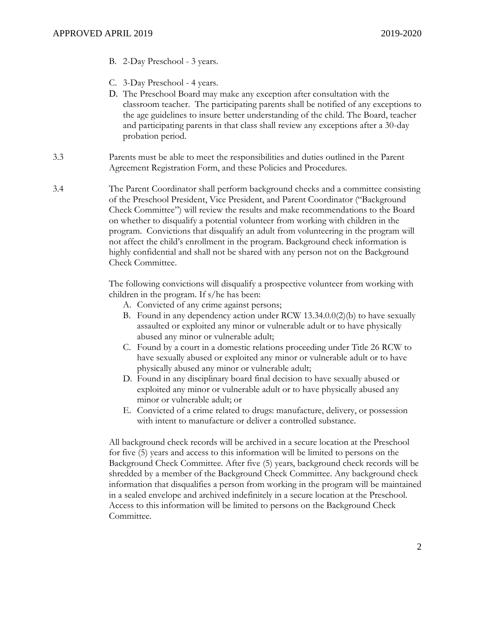- B. 2-Day Preschool 3 years.
- C. 3-Day Preschool 4 years.
- D. The Preschool Board may make any exception after consultation with the classroom teacher. The participating parents shall be notified of any exceptions to the age guidelines to insure better understanding of the child. The Board, teacher and participating parents in that class shall review any exceptions after a 30-day probation period.
- 3.3 Parents must be able to meet the responsibilities and duties outlined in the Parent Agreement Registration Form, and these Policies and Procedures.
- 3.4 The Parent Coordinator shall perform background checks and a committee consisting of the Preschool President, Vice President, and Parent Coordinator ("Background Check Committee") will review the results and make recommendations to the Board on whether to disqualify a potential volunteer from working with children in the program. Convictions that disqualify an adult from volunteering in the program will not affect the child's enrollment in the program. Background check information is highly confidential and shall not be shared with any person not on the Background Check Committee.

The following convictions will disqualify a prospective volunteer from working with children in the program. If s/he has been:

- A. Convicted of any crime against persons;
- B. Found in any dependency action under RCW 13.34.0.0(2)(b) to have sexually assaulted or exploited any minor or vulnerable adult or to have physically abused any minor or vulnerable adult;
- C. Found by a court in a domestic relations proceeding under Title 26 RCW to have sexually abused or exploited any minor or vulnerable adult or to have physically abused any minor or vulnerable adult;
- D. Found in any disciplinary board final decision to have sexually abused or exploited any minor or vulnerable adult or to have physically abused any minor or vulnerable adult; or
- E. Convicted of a crime related to drugs: manufacture, delivery, or possession with intent to manufacture or deliver a controlled substance.

All background check records will be archived in a secure location at the Preschool for five (5) years and access to this information will be limited to persons on the Background Check Committee. After five (5) years, background check records will be shredded by a member of the Background Check Committee. Any background check information that disqualifies a person from working in the program will be maintained in a sealed envelope and archived indefinitely in a secure location at the Preschool. Access to this information will be limited to persons on the Background Check Committee.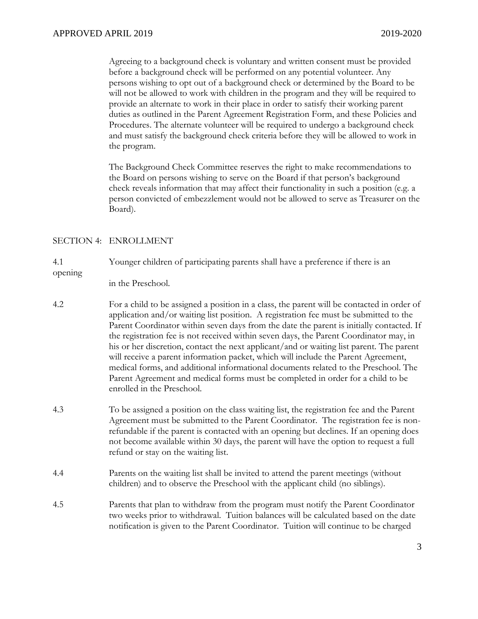Agreeing to a background check is voluntary and written consent must be provided before a background check will be performed on any potential volunteer. Any persons wishing to opt out of a background check or determined by the Board to be will not be allowed to work with children in the program and they will be required to provide an alternate to work in their place in order to satisfy their working parent duties as outlined in the Parent Agreement Registration Form, and these Policies and Procedures. The alternate volunteer will be required to undergo a background check and must satisfy the background check criteria before they will be allowed to work in the program.

The Background Check Committee reserves the right to make recommendations to the Board on persons wishing to serve on the Board if that person's background check reveals information that may affect their functionality in such a position (e.g. a person convicted of embezzlement would not be allowed to serve as Treasurer on the Board).

#### SECTION 4: ENROLLMENT

4.1 Younger children of participating parents shall have a preference if there is an opening

in the Preschool.

- 4.2 For a child to be assigned a position in a class, the parent will be contacted in order of application and/or waiting list position. A registration fee must be submitted to the Parent Coordinator within seven days from the date the parent is initially contacted. If the registration fee is not received within seven days, the Parent Coordinator may, in his or her discretion, contact the next applicant/and or waiting list parent. The parent will receive a parent information packet, which will include the Parent Agreement, medical forms, and additional informational documents related to the Preschool. The Parent Agreement and medical forms must be completed in order for a child to be enrolled in the Preschool.
- 4.3 To be assigned a position on the class waiting list, the registration fee and the Parent Agreement must be submitted to the Parent Coordinator. The registration fee is nonrefundable if the parent is contacted with an opening but declines. If an opening does not become available within 30 days, the parent will have the option to request a full refund or stay on the waiting list.
- 4.4 Parents on the waiting list shall be invited to attend the parent meetings (without children) and to observe the Preschool with the applicant child (no siblings).
- 4.5 Parents that plan to withdraw from the program must notify the Parent Coordinator two weeks prior to withdrawal. Tuition balances will be calculated based on the date notification is given to the Parent Coordinator. Tuition will continue to be charged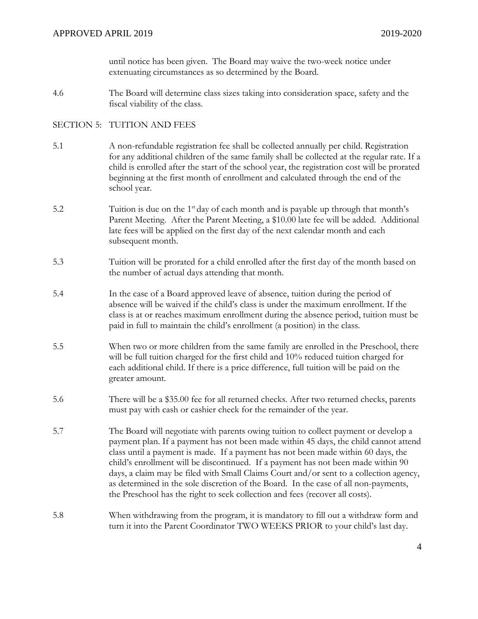until notice has been given. The Board may waive the two-week notice under extenuating circumstances as so determined by the Board.

4.6 The Board will determine class sizes taking into consideration space, safety and the fiscal viability of the class.

# SECTION 5: TUITION AND FEES

- 5.1 A non-refundable registration fee shall be collected annually per child. Registration for any additional children of the same family shall be collected at the regular rate. If a child is enrolled after the start of the school year, the registration cost will be prorated beginning at the first month of enrollment and calculated through the end of the school year.
- 5.2 Tuition is due on the 1<sup>st</sup> day of each month and is payable up through that month's Parent Meeting. After the Parent Meeting, a \$10.00 late fee will be added. Additional late fees will be applied on the first day of the next calendar month and each subsequent month.
- 5.3 Tuition will be prorated for a child enrolled after the first day of the month based on the number of actual days attending that month.
- 5.4 In the case of a Board approved leave of absence, tuition during the period of absence will be waived if the child's class is under the maximum enrollment. If the class is at or reaches maximum enrollment during the absence period, tuition must be paid in full to maintain the child's enrollment (a position) in the class.
- 5.5 When two or more children from the same family are enrolled in the Preschool, there will be full tuition charged for the first child and 10% reduced tuition charged for each additional child. If there is a price difference, full tuition will be paid on the greater amount.
- 5.6 There will be a \$35.00 fee for all returned checks. After two returned checks, parents must pay with cash or cashier check for the remainder of the year.
- 5.7 The Board will negotiate with parents owing tuition to collect payment or develop a payment plan. If a payment has not been made within 45 days, the child cannot attend class until a payment is made. If a payment has not been made within 60 days, the child's enrollment will be discontinued. If a payment has not been made within 90 days, a claim may be filed with Small Claims Court and/or sent to a collection agency, as determined in the sole discretion of the Board. In the case of all non-payments, the Preschool has the right to seek collection and fees (recover all costs).
- 5.8 When withdrawing from the program, it is mandatory to fill out a withdraw form and turn it into the Parent Coordinator TWO WEEKS PRIOR to your child's last day.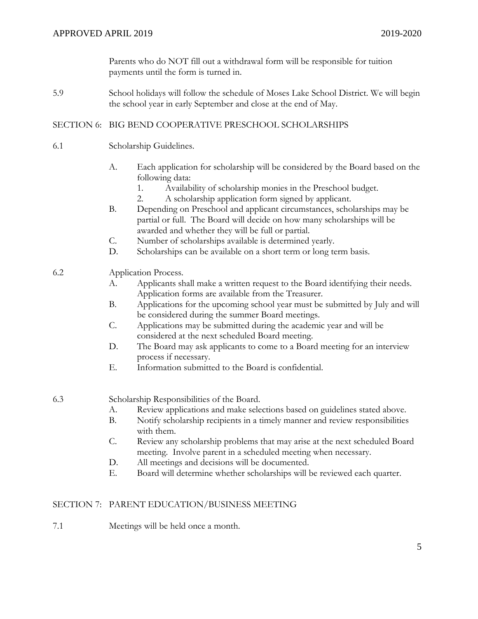Parents who do NOT fill out a withdrawal form will be responsible for tuition payments until the form is turned in.

5.9 School holidays will follow the schedule of Moses Lake School District. We will begin the school year in early September and close at the end of May.

# SECTION 6: BIG BEND COOPERATIVE PRESCHOOL SCHOLARSHIPS

- 6.1 Scholarship Guidelines.
	- A. Each application for scholarship will be considered by the Board based on the following data:
		- 1. Availability of scholarship monies in the Preschool budget.
		- 2. A scholarship application form signed by applicant.
	- B. Depending on Preschool and applicant circumstances, scholarships may be partial or full. The Board will decide on how many scholarships will be awarded and whether they will be full or partial.
	- C. Number of scholarships available is determined yearly.
	- D. Scholarships can be available on a short term or long term basis.

# 6.2 Application Process.

- A. Applicants shall make a written request to the Board identifying their needs. Application forms are available from the Treasurer.
- B. Applications for the upcoming school year must be submitted by July and will be considered during the summer Board meetings.
- C. Applications may be submitted during the academic year and will be considered at the next scheduled Board meeting.
- D. The Board may ask applicants to come to a Board meeting for an interview process if necessary.
- E. Information submitted to the Board is confidential.

6.3 Scholarship Responsibilities of the Board.

- A. Review applications and make selections based on guidelines stated above.
- B. Notify scholarship recipients in a timely manner and review responsibilities with them.
- C. Review any scholarship problems that may arise at the next scheduled Board meeting. Involve parent in a scheduled meeting when necessary.
- D. All meetings and decisions will be documented.
- E. Board will determine whether scholarships will be reviewed each quarter.

# SECTION 7: PARENT EDUCATION/BUSINESS MEETING

7.1 Meetings will be held once a month.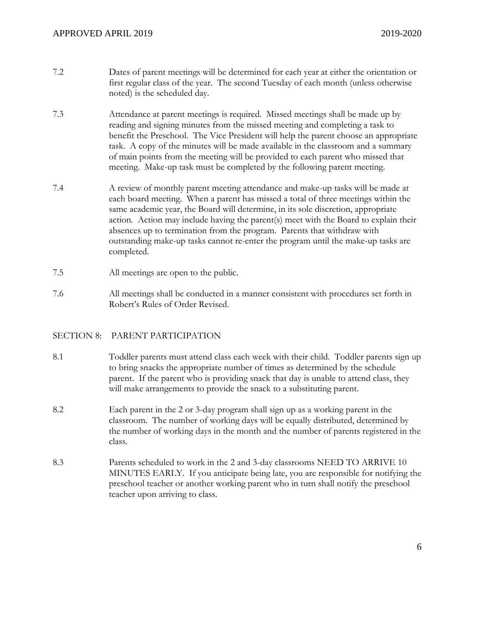- 7.2 Dates of parent meetings will be determined for each year at either the orientation or first regular class of the year. The second Tuesday of each month (unless otherwise noted) is the scheduled day.
- 7.3 Attendance at parent meetings is required. Missed meetings shall be made up by reading and signing minutes from the missed meeting and completing a task to benefit the Preschool. The Vice President will help the parent choose an appropriate task. A copy of the minutes will be made available in the classroom and a summary of main points from the meeting will be provided to each parent who missed that meeting. Make-up task must be completed by the following parent meeting.
- 7.4 A review of monthly parent meeting attendance and make-up tasks will be made at each board meeting. When a parent has missed a total of three meetings within the same academic year, the Board will determine, in its sole discretion, appropriate action. Action may include having the parent(s) meet with the Board to explain their absences up to termination from the program. Parents that withdraw with outstanding make-up tasks cannot re-enter the program until the make-up tasks are completed.
- 7.5 All meetings are open to the public.
- 7.6 All meetings shall be conducted in a manner consistent with procedures set forth in Robert's Rules of Order Revised.

# SECTION 8: PARENT PARTICIPATION

- 8.1 Toddler parents must attend class each week with their child. Toddler parents sign up to bring snacks the appropriate number of times as determined by the schedule parent. If the parent who is providing snack that day is unable to attend class, they will make arrangements to provide the snack to a substituting parent.
- 8.2 Each parent in the 2 or 3-day program shall sign up as a working parent in the classroom. The number of working days will be equally distributed, determined by the number of working days in the month and the number of parents registered in the class.
- 8.3 Parents scheduled to work in the 2 and 3-day classrooms NEED TO ARRIVE 10 MINUTES EARLY. If you anticipate being late, you are responsible for notifying the preschool teacher or another working parent who in turn shall notify the preschool teacher upon arriving to class.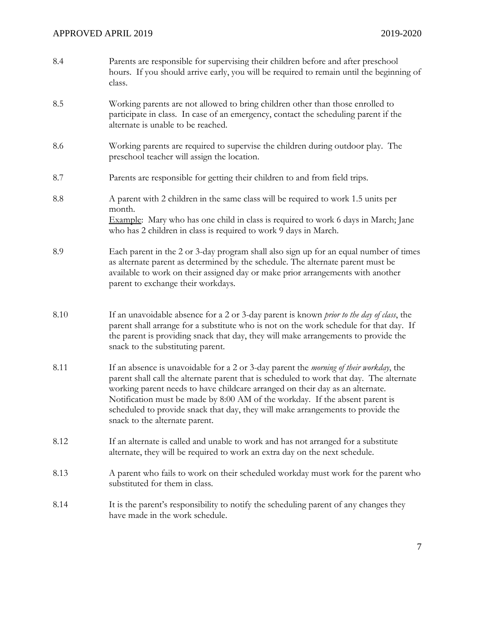| 8.4  | Parents are responsible for supervising their children before and after preschool<br>hours. If you should arrive early, you will be required to remain until the beginning of<br>class.                                                                                                                                                                                                                                                                                          |
|------|----------------------------------------------------------------------------------------------------------------------------------------------------------------------------------------------------------------------------------------------------------------------------------------------------------------------------------------------------------------------------------------------------------------------------------------------------------------------------------|
| 8.5  | Working parents are not allowed to bring children other than those enrolled to<br>participate in class. In case of an emergency, contact the scheduling parent if the<br>alternate is unable to be reached.                                                                                                                                                                                                                                                                      |
| 8.6  | Working parents are required to supervise the children during outdoor play. The<br>preschool teacher will assign the location.                                                                                                                                                                                                                                                                                                                                                   |
| 8.7  | Parents are responsible for getting their children to and from field trips.                                                                                                                                                                                                                                                                                                                                                                                                      |
| 8.8  | A parent with 2 children in the same class will be required to work 1.5 units per<br>month.                                                                                                                                                                                                                                                                                                                                                                                      |
|      | Example: Mary who has one child in class is required to work 6 days in March; Jane<br>who has 2 children in class is required to work 9 days in March.                                                                                                                                                                                                                                                                                                                           |
| 8.9  | Each parent in the 2 or 3-day program shall also sign up for an equal number of times<br>as alternate parent as determined by the schedule. The alternate parent must be<br>available to work on their assigned day or make prior arrangements with another<br>parent to exchange their workdays.                                                                                                                                                                                |
| 8.10 | If an unavoidable absence for a 2 or 3-day parent is known <i>prior to the day of class</i> , the<br>parent shall arrange for a substitute who is not on the work schedule for that day. If<br>the parent is providing snack that day, they will make arrangements to provide the<br>snack to the substituting parent.                                                                                                                                                           |
| 8.11 | If an absence is unavoidable for a 2 or 3-day parent the <i>morning of their workday</i> , the<br>parent shall call the alternate parent that is scheduled to work that day. The alternate<br>working parent needs to have childcare arranged on their day as an alternate.<br>Notification must be made by 8:00 AM of the workday. If the absent parent is<br>scheduled to provide snack that day, they will make arrangements to provide the<br>snack to the alternate parent. |
| 8.12 | If an alternate is called and unable to work and has not arranged for a substitute<br>alternate, they will be required to work an extra day on the next schedule.                                                                                                                                                                                                                                                                                                                |
| 8.13 | A parent who fails to work on their scheduled workday must work for the parent who<br>substituted for them in class.                                                                                                                                                                                                                                                                                                                                                             |
| 8.14 | It is the parent's responsibility to notify the scheduling parent of any changes they<br>have made in the work schedule.                                                                                                                                                                                                                                                                                                                                                         |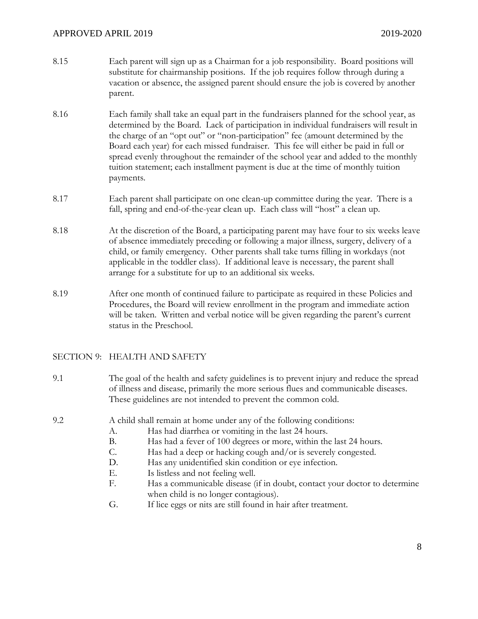# APPROVED APRIL 2019 2020

- 8.15 Each parent will sign up as a Chairman for a job responsibility. Board positions will substitute for chairmanship positions. If the job requires follow through during a vacation or absence, the assigned parent should ensure the job is covered by another parent.
- 8.16 Each family shall take an equal part in the fundraisers planned for the school year, as determined by the Board. Lack of participation in individual fundraisers will result in the charge of an "opt out" or "non-participation" fee (amount determined by the Board each year) for each missed fundraiser. This fee will either be paid in full or spread evenly throughout the remainder of the school year and added to the monthly tuition statement; each installment payment is due at the time of monthly tuition payments.
- 8.17 Each parent shall participate on one clean-up committee during the year. There is a fall, spring and end-of-the-year clean up. Each class will "host" a clean up.
- 8.18 At the discretion of the Board, a participating parent may have four to six weeks leave of absence immediately preceding or following a major illness, surgery, delivery of a child, or family emergency. Other parents shall take turns filling in workdays (not applicable in the toddler class). If additional leave is necessary, the parent shall arrange for a substitute for up to an additional six weeks.
- 8.19 After one month of continued failure to participate as required in these Policies and Procedures, the Board will review enrollment in the program and immediate action will be taken. Written and verbal notice will be given regarding the parent's current status in the Preschool.

# SECTION 9: HEALTH AND SAFETY

9.1 The goal of the health and safety guidelines is to prevent injury and reduce the spread of illness and disease, primarily the more serious flues and communicable diseases. These guidelines are not intended to prevent the common cold.

- 9.2 A child shall remain at home under any of the following conditions:
	- A. Has had diarrhea or vomiting in the last 24 hours.
	- B. Has had a fever of 100 degrees or more, within the last 24 hours.
	- C. Has had a deep or hacking cough and/or is severely congested.
	- D. Has any unidentified skin condition or eye infection.
	- E. Is listless and not feeling well.
	- F. Has a communicable disease (if in doubt, contact your doctor to determine when child is no longer contagious).
	- G. If lice eggs or nits are still found in hair after treatment.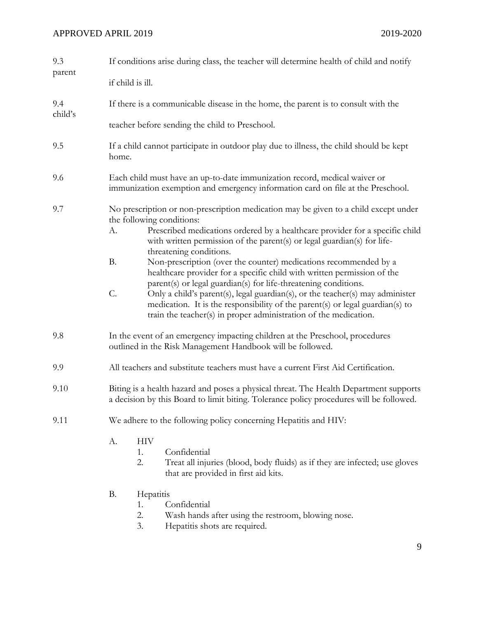# APPROVED APRIL 2019 2019-2020

| 9.3            | If conditions arise during class, the teacher will determine health of child and notify                                                                                          |                                                                                                                                                                                                                                                                                                                                                                                                                                                                                                                                                                                                                                                                                                                                                                |  |
|----------------|----------------------------------------------------------------------------------------------------------------------------------------------------------------------------------|----------------------------------------------------------------------------------------------------------------------------------------------------------------------------------------------------------------------------------------------------------------------------------------------------------------------------------------------------------------------------------------------------------------------------------------------------------------------------------------------------------------------------------------------------------------------------------------------------------------------------------------------------------------------------------------------------------------------------------------------------------------|--|
| parent         | if child is ill.                                                                                                                                                                 |                                                                                                                                                                                                                                                                                                                                                                                                                                                                                                                                                                                                                                                                                                                                                                |  |
| 9.4<br>child's |                                                                                                                                                                                  | If there is a communicable disease in the home, the parent is to consult with the                                                                                                                                                                                                                                                                                                                                                                                                                                                                                                                                                                                                                                                                              |  |
|                |                                                                                                                                                                                  | teacher before sending the child to Preschool.                                                                                                                                                                                                                                                                                                                                                                                                                                                                                                                                                                                                                                                                                                                 |  |
| 9.5            | If a child cannot participate in outdoor play due to illness, the child should be kept<br>home.                                                                                  |                                                                                                                                                                                                                                                                                                                                                                                                                                                                                                                                                                                                                                                                                                                                                                |  |
| 9.6            | Each child must have an up-to-date immunization record, medical waiver or<br>immunization exemption and emergency information card on file at the Preschool.                     |                                                                                                                                                                                                                                                                                                                                                                                                                                                                                                                                                                                                                                                                                                                                                                |  |
| 9.7            | A.<br><b>B.</b><br>C.                                                                                                                                                            | No prescription or non-prescription medication may be given to a child except under<br>the following conditions:<br>Prescribed medications ordered by a healthcare provider for a specific child<br>with written permission of the parent(s) or legal guardian(s) for life-<br>threatening conditions.<br>Non-prescription (over the counter) medications recommended by a<br>healthcare provider for a specific child with written permission of the<br>parent(s) or legal guardian(s) for life-threatening conditions.<br>Only a child's parent(s), legal guardian(s), or the teacher(s) may administer<br>medication. It is the responsibility of the parent(s) or legal guardian(s) to<br>train the teacher(s) in proper administration of the medication. |  |
| 9.8            | In the event of an emergency impacting children at the Preschool, procedures<br>outlined in the Risk Management Handbook will be followed.                                       |                                                                                                                                                                                                                                                                                                                                                                                                                                                                                                                                                                                                                                                                                                                                                                |  |
| 9.9            | All teachers and substitute teachers must have a current First Aid Certification.                                                                                                |                                                                                                                                                                                                                                                                                                                                                                                                                                                                                                                                                                                                                                                                                                                                                                |  |
| 9.10           | Biting is a health hazard and poses a physical threat. The Health Department supports<br>a decision by this Board to limit biting. Tolerance policy procedures will be followed. |                                                                                                                                                                                                                                                                                                                                                                                                                                                                                                                                                                                                                                                                                                                                                                |  |
| 9.11           | We adhere to the following policy concerning Hepatitis and HIV:                                                                                                                  |                                                                                                                                                                                                                                                                                                                                                                                                                                                                                                                                                                                                                                                                                                                                                                |  |
|                | А.                                                                                                                                                                               | <b>HIV</b><br>Confidential<br>1.<br>2.<br>Treat all injuries (blood, body fluids) as if they are infected; use gloves<br>that are provided in first aid kits.                                                                                                                                                                                                                                                                                                                                                                                                                                                                                                                                                                                                  |  |
|                | <b>B.</b>                                                                                                                                                                        | Hepatitis<br>Confidential<br>1.<br>2.<br>Wash hands after using the restroom, blowing nose.                                                                                                                                                                                                                                                                                                                                                                                                                                                                                                                                                                                                                                                                    |  |

3. Hepatitis shots are required.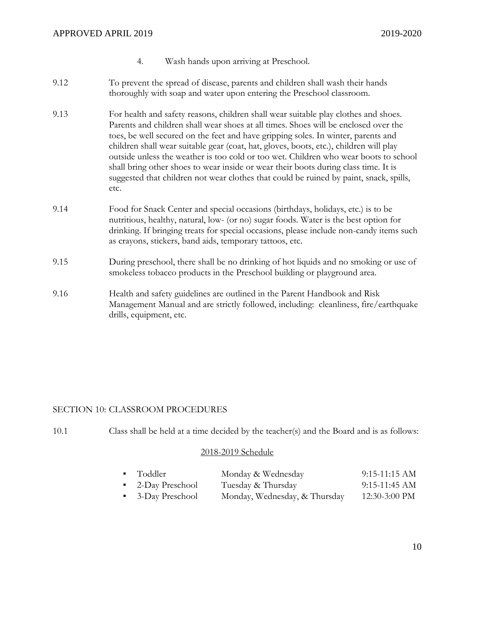- 4. Wash hands upon arriving at Preschool.
- 9.12 To prevent the spread of disease, parents and children shall wash their hands thoroughly with soap and water upon entering the Preschool classroom.
- 9.13 For health and safety reasons, children shall wear suitable play clothes and shoes. Parents and children shall wear shoes at all times. Shoes will be enclosed over the toes, be well secured on the feet and have gripping soles. In winter, parents and children shall wear suitable gear (coat, hat, gloves, boots, etc.), children will play outside unless the weather is too cold or too wet. Children who wear boots to school shall bring other shoes to wear inside or wear their boots during class time. It is suggested that children not wear clothes that could be ruined by paint, snack, spills, etc.
- 9.14 Food for Snack Center and special occasions (birthdays, holidays, etc.) is to be nutritious, healthy, natural, low- (or no) sugar foods. Water is the best option for drinking. If bringing treats for special occasions, please include non-candy items such as crayons, stickers, band aids, temporary tattoos, etc.
- 9.15 During preschool, there shall be no drinking of hot liquids and no smoking or use of smokeless tobacco products in the Preschool building or playground area.
- 9.16 Health and safety guidelines are outlined in the Parent Handbook and Risk Management Manual and are strictly followed, including: cleanliness, fire/earthquake drills, equipment, etc.

# SECTION 10: CLASSROOM PROCEDURES

10.1 Class shall be held at a time decided by the teacher(s) and the Board and is as follows:

#### 2018-2019 Schedule

| ■ Toddler         | Monday & Wednesday            | $9:15-11:15$ AM         |
|-------------------|-------------------------------|-------------------------|
| • 2-Day Preschool | Tuesday & Thursday            | $9:15-11:45 \text{ AM}$ |
| • 3-Day Preschool | Monday, Wednesday, & Thursday | $12:30-3:00$ PM         |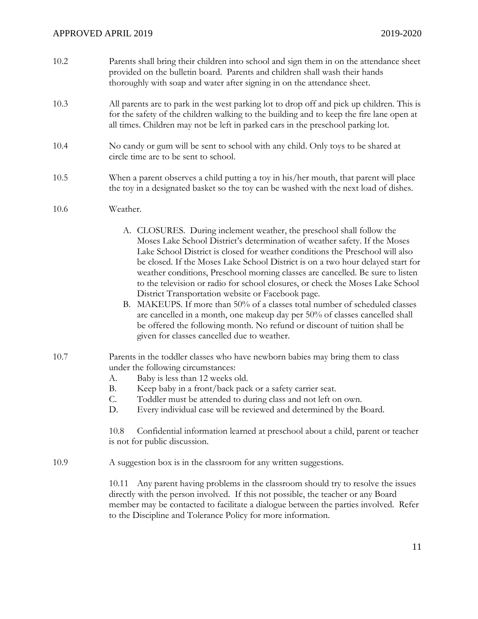| 10.2 | Parents shall bring their children into school and sign them in on the attendance sheet<br>provided on the bulletin board. Parents and children shall wash their hands<br>thoroughly with soap and water after signing in on the attendance sheet.                        |
|------|---------------------------------------------------------------------------------------------------------------------------------------------------------------------------------------------------------------------------------------------------------------------------|
| 10.3 | All parents are to park in the west parking lot to drop off and pick up children. This is<br>for the safety of the children walking to the building and to keep the fire lane open at<br>all times. Children may not be left in parked cars in the preschool parking lot. |

- 10.4 No candy or gum will be sent to school with any child. Only toys to be shared at circle time are to be sent to school.
- 10.5 When a parent observes a child putting a toy in his/her mouth, that parent will place the toy in a designated basket so the toy can be washed with the next load of dishes.

# 10.6 Weather.

- A. CLOSURES. During inclement weather, the preschool shall follow the Moses Lake School District's determination of weather safety. If the Moses Lake School District is closed for weather conditions the Preschool will also be closed. If the Moses Lake School District is on a two hour delayed start for weather conditions, Preschool morning classes are cancelled. Be sure to listen to the television or radio for school closures, or check the Moses Lake School District Transportation website or Facebook page.
- B. MAKEUPS. If more than 50% of a classes total number of scheduled classes are cancelled in a month, one makeup day per 50% of classes cancelled shall be offered the following month. No refund or discount of tuition shall be given for classes cancelled due to weather.
- 10.7 Parents in the toddler classes who have newborn babies may bring them to class under the following circumstances:
	- A. Baby is less than 12 weeks old.
	- B. Keep baby in a front/back pack or a safety carrier seat.
	- C. Toddler must be attended to during class and not left on own.
	- D. Every individual case will be reviewed and determined by the Board.

10.8 Confidential information learned at preschool about a child, parent or teacher is not for public discussion.

10.9 A suggestion box is in the classroom for any written suggestions.

10.11 Any parent having problems in the classroom should try to resolve the issues directly with the person involved. If this not possible, the teacher or any Board member may be contacted to facilitate a dialogue between the parties involved. Refer to the Discipline and Tolerance Policy for more information.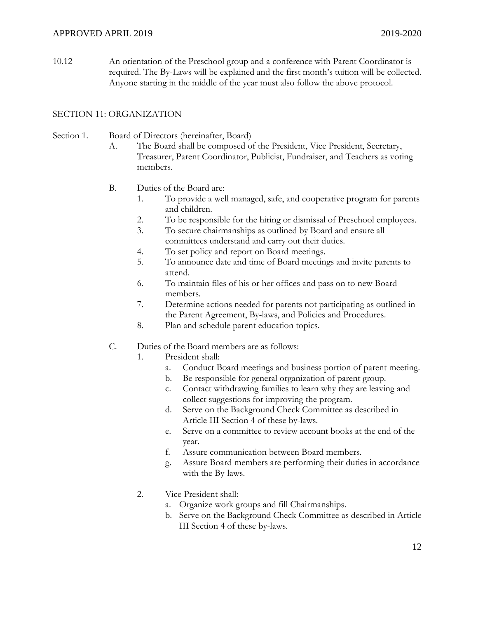10.12 An orientation of the Preschool group and a conference with Parent Coordinator is required. The By-Laws will be explained and the first month's tuition will be collected. Anyone starting in the middle of the year must also follow the above protocol.

# SECTION 11: ORGANIZATION

#### Section 1. Board of Directors (hereinafter, Board)

- A. The Board shall be composed of the President, Vice President, Secretary, Treasurer, Parent Coordinator, Publicist, Fundraiser, and Teachers as voting members.
- B. Duties of the Board are:
	- 1. To provide a well managed, safe, and cooperative program for parents and children.
	- 2. To be responsible for the hiring or dismissal of Preschool employees.
	- 3. To secure chairmanships as outlined by Board and ensure all committees understand and carry out their duties.
	- 4. To set policy and report on Board meetings.
	- 5. To announce date and time of Board meetings and invite parents to attend.
	- 6. To maintain files of his or her offices and pass on to new Board members.
	- 7. Determine actions needed for parents not participating as outlined in the Parent Agreement, By-laws, and Policies and Procedures.
	- 8. Plan and schedule parent education topics.
- C. Duties of the Board members are as follows:
	- 1. President shall:
		- a. Conduct Board meetings and business portion of parent meeting.
		- b. Be responsible for general organization of parent group.
		- c. Contact withdrawing families to learn why they are leaving and collect suggestions for improving the program.
		- d. Serve on the Background Check Committee as described in Article III Section 4 of these by-laws.
		- e. Serve on a committee to review account books at the end of the year.
		- f. Assure communication between Board members.
		- g. Assure Board members are performing their duties in accordance with the By-laws.
	- 2. Vice President shall:
		- a. Organize work groups and fill Chairmanships.
		- b. Serve on the Background Check Committee as described in Article III Section 4 of these by-laws.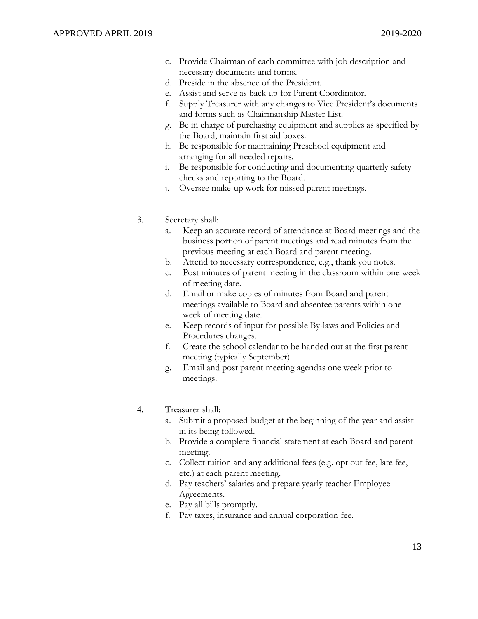- c. Provide Chairman of each committee with job description and necessary documents and forms.
- d. Preside in the absence of the President.
- e. Assist and serve as back up for Parent Coordinator.
- f. Supply Treasurer with any changes to Vice President's documents and forms such as Chairmanship Master List.
- g. Be in charge of purchasing equipment and supplies as specified by the Board, maintain first aid boxes.
- h. Be responsible for maintaining Preschool equipment and arranging for all needed repairs.
- i. Be responsible for conducting and documenting quarterly safety checks and reporting to the Board.
- j. Oversee make-up work for missed parent meetings.

#### 3. Secretary shall:

- Keep an accurate record of attendance at Board meetings and the business portion of parent meetings and read minutes from the previous meeting at each Board and parent meeting.
- b. Attend to necessary correspondence, e.g., thank you notes.
- c. Post minutes of parent meeting in the classroom within one week of meeting date.
- d. Email or make copies of minutes from Board and parent meetings available to Board and absentee parents within one week of meeting date.
- e. Keep records of input for possible By-laws and Policies and Procedures changes.
- f. Create the school calendar to be handed out at the first parent meeting (typically September).
- g. Email and post parent meeting agendas one week prior to meetings.

#### 4. Treasurer shall:

- Submit a proposed budget at the beginning of the year and assist in its being followed.
- b. Provide a complete financial statement at each Board and parent meeting.
- c. Collect tuition and any additional fees (e.g. opt out fee, late fee, etc.) at each parent meeting.
- d. Pay teachers' salaries and prepare yearly teacher Employee Agreements.
- e. Pay all bills promptly.
- f. Pay taxes, insurance and annual corporation fee.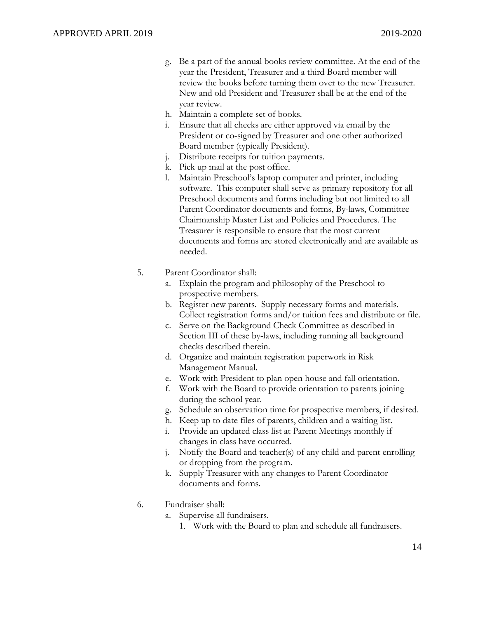- g. Be a part of the annual books review committee. At the end of the year the President, Treasurer and a third Board member will review the books before turning them over to the new Treasurer. New and old President and Treasurer shall be at the end of the year review.
- h. Maintain a complete set of books.
- Ensure that all checks are either approved via email by the President or co-signed by Treasurer and one other authorized Board member (typically President).
- j. Distribute receipts for tuition payments.
- k. Pick up mail at the post office.
- l. Maintain Preschool's laptop computer and printer, including software. This computer shall serve as primary repository for all Preschool documents and forms including but not limited to all Parent Coordinator documents and forms, By-laws, Committee Chairmanship Master List and Policies and Procedures. The Treasurer is responsible to ensure that the most current documents and forms are stored electronically and are available as needed.

#### 5. Parent Coordinator shall:

- a. Explain the program and philosophy of the Preschool to prospective members.
- b. Register new parents. Supply necessary forms and materials. Collect registration forms and/or tuition fees and distribute or file.
- c. Serve on the Background Check Committee as described in Section III of these by-laws, including running all background checks described therein.
- d. Organize and maintain registration paperwork in Risk Management Manual.
- e. Work with President to plan open house and fall orientation.
- f. Work with the Board to provide orientation to parents joining during the school year.
- g. Schedule an observation time for prospective members, if desired.
- h. Keep up to date files of parents, children and a waiting list.
- i. Provide an updated class list at Parent Meetings monthly if changes in class have occurred.
- j. Notify the Board and teacher(s) of any child and parent enrolling or dropping from the program.
- k. Supply Treasurer with any changes to Parent Coordinator documents and forms.

# 6. Fundraiser shall:

- a. Supervise all fundraisers.
	- 1. Work with the Board to plan and schedule all fundraisers.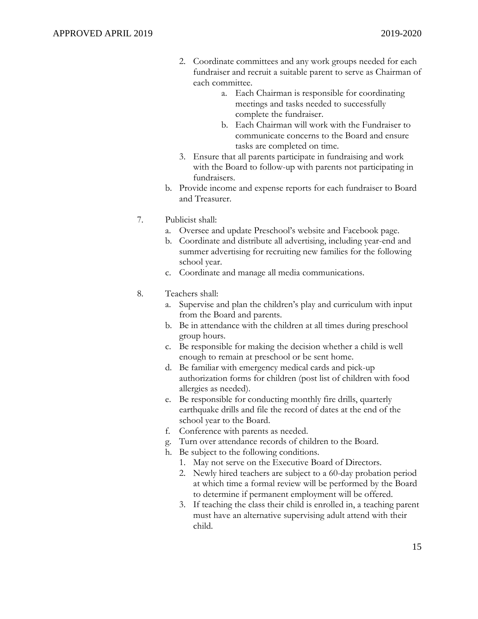- 2. Coordinate committees and any work groups needed for each fundraiser and recruit a suitable parent to serve as Chairman of each committee.
	- a. Each Chairman is responsible for coordinating meetings and tasks needed to successfully complete the fundraiser.
	- b. Each Chairman will work with the Fundraiser to communicate concerns to the Board and ensure tasks are completed on time.
- 3. Ensure that all parents participate in fundraising and work with the Board to follow-up with parents not participating in fundraisers.
- b. Provide income and expense reports for each fundraiser to Board and Treasurer.
- 7. Publicist shall:
	- a. Oversee and update Preschool's website and Facebook page.
	- b. Coordinate and distribute all advertising, including year-end and summer advertising for recruiting new families for the following school year.
	- c. Coordinate and manage all media communications.
- 8. Teachers shall:
	- a. Supervise and plan the children's play and curriculum with input from the Board and parents.
	- b. Be in attendance with the children at all times during preschool group hours.
	- c. Be responsible for making the decision whether a child is well enough to remain at preschool or be sent home.
	- d. Be familiar with emergency medical cards and pick-up authorization forms for children (post list of children with food allergies as needed).
	- e. Be responsible for conducting monthly fire drills, quarterly earthquake drills and file the record of dates at the end of the school year to the Board.
	- f. Conference with parents as needed.
	- g. Turn over attendance records of children to the Board.
	- h. Be subject to the following conditions.
		- 1. May not serve on the Executive Board of Directors.
		- 2. Newly hired teachers are subject to a 60-day probation period at which time a formal review will be performed by the Board to determine if permanent employment will be offered.
		- 3. If teaching the class their child is enrolled in, a teaching parent must have an alternative supervising adult attend with their child.